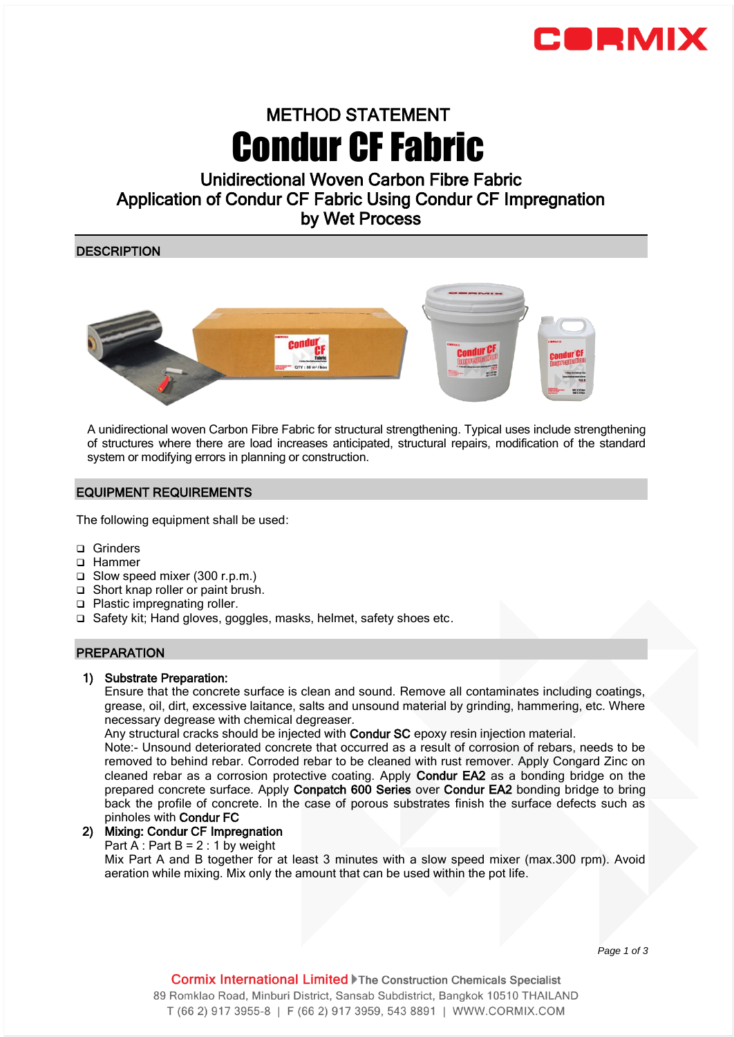

# METHOD STATEMENT Condur CF Fabric

# Unidirectional Woven Carbon Fibre Fabric Application of Condur CF Fabric Using Condur CF Impregnation by Wet Process

**DESCRIPTION** 



A unidirectional woven Carbon Fibre Fabric for structural strengthening. Typical uses include strengthening of structures where there are load increases anticipated, structural repairs, modification of the standard system or modifying errors in planning or construction.

# EQUIPMENT REQUIREMENTS

The following equipment shall be used:

- □ Grinders
- □ Hammer
- Slow speed mixer (300 r.p.m.)
- □ Short knap roller or paint brush.
- □ Plastic impregnating roller.
- $\Box$  Safety kit; Hand gloves, goggles, masks, helmet, safety shoes etc.

# PREPARATION

# 1) Substrate Preparation:

Ensure that the concrete surface is clean and sound. Remove all contaminates including coatings, grease, oil, dirt, excessive laitance, salts and unsound material by grinding, hammering, etc. Where necessary degrease with chemical degreaser.

Any structural cracks should be injected with Condur SC epoxy resin injection material.

Note:- Unsound deteriorated concrete that occurred as a result of corrosion of rebars, needs to be removed to behind rebar. Corroded rebar to be cleaned with rust remover. Apply Congard Zinc on cleaned rebar as a corrosion protective coating. Apply Condur EA2 as a bonding bridge on the prepared concrete surface. Apply Conpatch 600 Series over Condur EA2 bonding bridge to bring back the profile of concrete. In the case of porous substrates finish the surface defects such as pinholes with Condur FC

# 2) Mixing: Condur CF Impregnation

Part  $A : Part B = 2 : 1$  by weight

Mix Part A and B together for at least 3 minutes with a slow speed mixer (max.300 rpm). Avoid aeration while mixing. Mix only the amount that can be used within the pot life.

 *Page 1 of 3*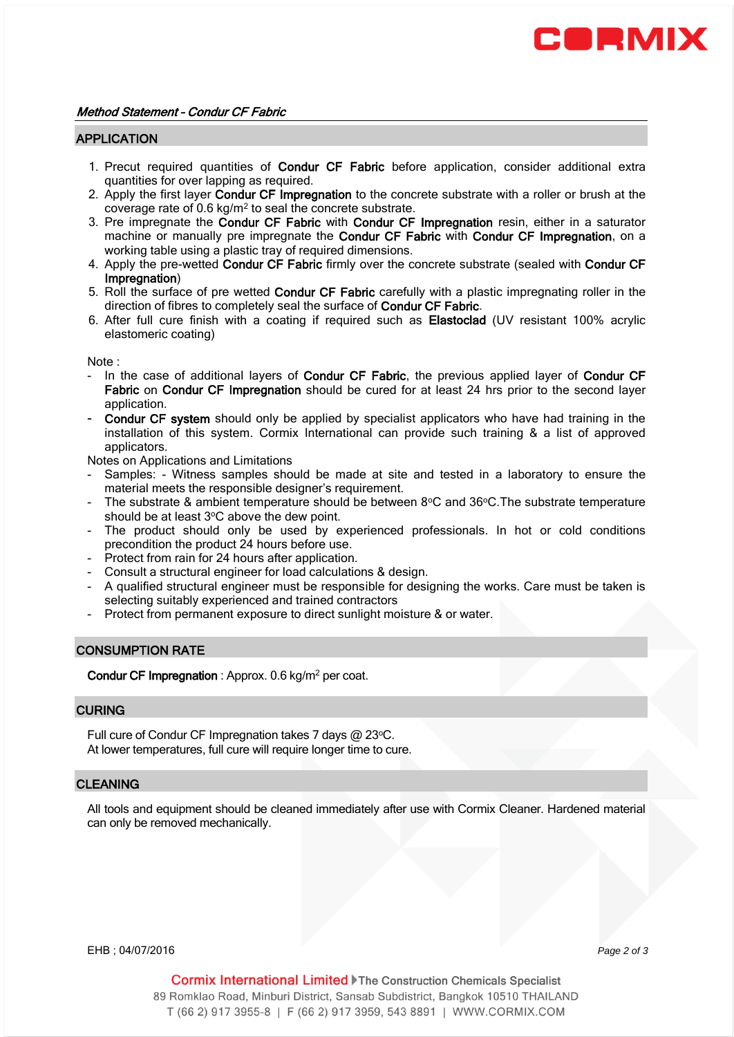

#### APPLICATION

- 1. Precut required quantities of Condur CF Fabric before application, consider additional extra quantities for over lapping as required.
- 2. Apply the first layer Condur CF Impregnation to the concrete substrate with a roller or brush at the coverage rate of 0.6  $kg/m^2$  to seal the concrete substrate.
- 3. Pre impregnate the Condur CF Fabric with Condur CF Impregnation resin, either in a saturator machine or manually pre impregnate the Condur CF Fabric with Condur CF Impregnation, on a working table using a plastic tray of required dimensions.
- 4. Apply the pre-wetted Condur CF Fabric firmly over the concrete substrate (sealed with Condur CF Impregnation)
- 5. Roll the surface of pre wetted Condur CF Fabric carefully with a plastic impregnating roller in the direction of fibres to completely seal the surface of Condur CF Fabric.
- 6. After full cure finish with a coating if required such as Elastoclad (UV resistant 100% acrylic elastomeric coating)

Note :

- In the case of additional layers of Condur CF Fabric, the previous applied layer of Condur CF Fabric on Condur CF Impregnation should be cured for at least 24 hrs prior to the second layer application.
- Condur CF system should only be applied by specialist applicators who have had training in the installation of this system. Cormix International can provide such training & a list of approved applicators.

Notes on Applications and Limitations

- Samples: Witness samples should be made at site and tested in a laboratory to ensure the material meets the responsible designer's requirement.
- The substrate & ambient temperature should be between  $8^{\circ}$ C and  $36^{\circ}$ C. The substrate temperature should be at least 3°C above the dew point.
- The product should only be used by experienced professionals. In hot or cold conditions precondition the product 24 hours before use.
- Protect from rain for 24 hours after application.
- Consult a structural engineer for load calculations & design.
- A qualified structural engineer must be responsible for designing the works. Care must be taken is selecting suitably experienced and trained contractors
- Protect from permanent exposure to direct sunlight moisture & or water.

#### CONSUMPTION RATE

Condur CF Impregnation : Approx. 0.6 kg/m<sup>2</sup> per coat.

## **CURING**

Full cure of Condur CF Impregnation takes 7 days @ 23°C. At lower temperatures, full cure will require longer time to cure.

#### **CLEANING**

All tools and equipment should be cleaned immediately after use with Cormix Cleaner. Hardened material can only be removed mechanically.

EHB ; 04/07/2016 *Page 2 of 3* 

**Cormix International Limited Fine Construction Chemicals Specialist** 89 Romklao Road, Minburi District, Sansab Subdistrict, Bangkok 10510 THAILAND T (66 2) 917 3955-8 | F (66 2) 917 3959, 543 8891 | WWW.CORMIX.COM